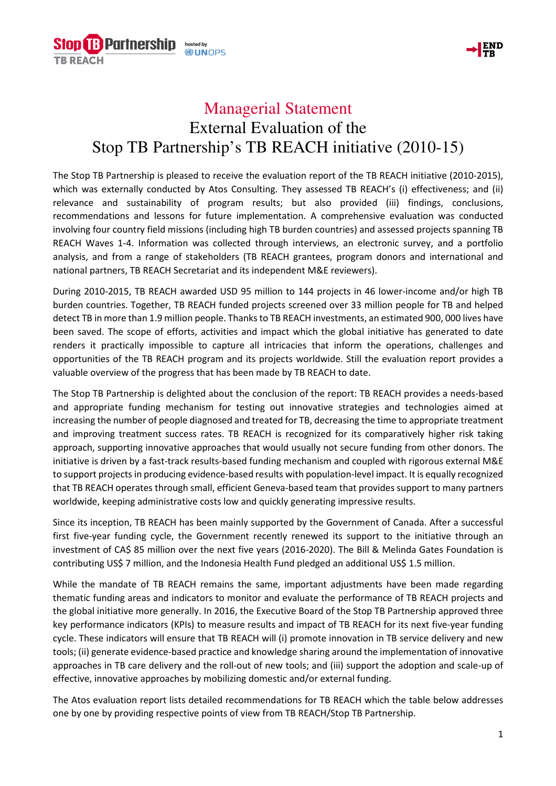



## Managerial Statement External Evaluation of the Stop TB Partnership's TB REACH initiative (2010-15)

The Stop TB Partnership is pleased to receive the evaluation report of the TB REACH initiative (2010-2015), which was externally conducted by Atos Consulting. They assessed TB REACH's (i) effectiveness; and (ii) relevance and sustainability of program results; but also provided (iii) findings, conclusions, recommendations and lessons for future implementation. A comprehensive evaluation was conducted involving four country field missions (including high TB burden countries) and assessed projects spanning TB REACH Waves 1-4. Information was collected through interviews, an electronic survey, and a portfolio analysis, and from a range of stakeholders (TB REACH grantees, program donors and international and national partners, TB REACH Secretariat and its independent M&E reviewers).

During 2010-2015, TB REACH awarded USD 95 million to 144 projects in 46 lower-income and/or high TB burden countries. Together, TB REACH funded projects screened over 33 million people for TB and helped detect TB in more than 1.9 million people. Thanks to TB REACH investments, an estimated 900, 000 lives have been saved. The scope of efforts, activities and impact which the global initiative has generated to date renders it practically impossible to capture all intricacies that inform the operations, challenges and opportunities of the TB REACH program and its projects worldwide. Still the evaluation report provides a valuable overview of the progress that has been made by TB REACH to date.

The Stop TB Partnership is delighted about the conclusion of the report: TB REACH provides a needs-based and appropriate funding mechanism for testing out innovative strategies and technologies aimed at increasing the number of people diagnosed and treated for TB, decreasing the time to appropriate treatment and improving treatment success rates. TB REACH is recognized for its comparatively higher risk taking approach, supporting innovative approaches that would usually not secure funding from other donors. The initiative is driven by a fast-track results-based funding mechanism and coupled with rigorous external M&E to support projects in producing evidence-based results with population-level impact. It is equally recognized that TB REACH operates through small, efficient Geneva-based team that provides support to many partners worldwide, keeping administrative costs low and quickly generating impressive results.

Since its inception, TB REACH has been mainly supported by the Government of Canada. After a successful first five-year funding cycle, the Government recently renewed its support to the initiative through an investment of CA\$ 85 million over the next five years (2016-2020). The Bill & Melinda Gates Foundation is contributing US\$ 7 million, and the Indonesia Health Fund pledged an additional US\$ 1.5 million.

While the mandate of TB REACH remains the same, important adjustments have been made regarding thematic funding areas and indicators to monitor and evaluate the performance of TB REACH projects and the global initiative more generally. In 2016, the Executive Board of the Stop TB Partnership approved three key performance indicators (KPIs) to measure results and impact of TB REACH for its next five-year funding cycle. These indicators will ensure that TB REACH will (i) promote innovation in TB service delivery and new tools; (ii) generate evidence-based practice and knowledge sharing around the implementation of innovative approaches in TB care delivery and the roll-out of new tools; and (iii) support the adoption and scale-up of effective, innovative approaches by mobilizing domestic and/or external funding.

The Atos evaluation report lists detailed recommendations for TB REACH which the table below addresses one by one by providing respective points of view from TB REACH/Stop TB Partnership.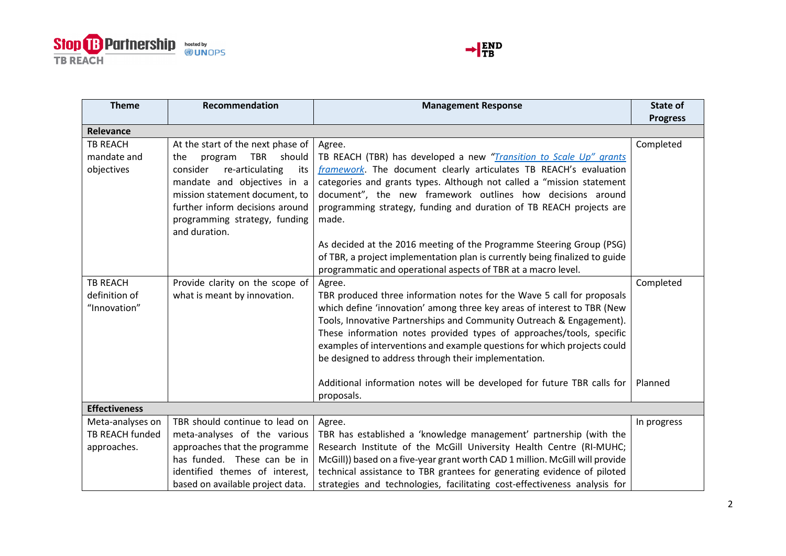



| <b>Theme</b>                                       | Recommendation                                                                                                                                                                                                                                                   | <b>Management Response</b>                                                                                                                                                                                                                                                                                                                                                                                                                      | State of<br><b>Progress</b> |
|----------------------------------------------------|------------------------------------------------------------------------------------------------------------------------------------------------------------------------------------------------------------------------------------------------------------------|-------------------------------------------------------------------------------------------------------------------------------------------------------------------------------------------------------------------------------------------------------------------------------------------------------------------------------------------------------------------------------------------------------------------------------------------------|-----------------------------|
| Relevance                                          |                                                                                                                                                                                                                                                                  |                                                                                                                                                                                                                                                                                                                                                                                                                                                 |                             |
| <b>TB REACH</b><br>mandate and<br>objectives       | At the start of the next phase of<br>TBR<br>should<br>program<br>the<br>re-articulating<br>consider<br>its<br>mandate and objectives in a<br>mission statement document, to<br>further inform decisions around<br>programming strategy, funding<br>and duration. | Agree.<br>TB REACH (TBR) has developed a new "Transition to Scale Up" grants<br>framework. The document clearly articulates TB REACH's evaluation<br>categories and grants types. Although not called a "mission statement<br>document", the new framework outlines how decisions around<br>programming strategy, funding and duration of TB REACH projects are<br>made.                                                                        | Completed                   |
|                                                    |                                                                                                                                                                                                                                                                  | As decided at the 2016 meeting of the Programme Steering Group (PSG)<br>of TBR, a project implementation plan is currently being finalized to guide<br>programmatic and operational aspects of TBR at a macro level.                                                                                                                                                                                                                            |                             |
| <b>TB REACH</b><br>definition of<br>"Innovation"   | Provide clarity on the scope of<br>what is meant by innovation.                                                                                                                                                                                                  | Agree.<br>TBR produced three information notes for the Wave 5 call for proposals<br>which define 'innovation' among three key areas of interest to TBR (New<br>Tools, Innovative Partnerships and Community Outreach & Engagement).<br>These information notes provided types of approaches/tools, specific<br>examples of interventions and example questions for which projects could<br>be designed to address through their implementation. | Completed                   |
|                                                    |                                                                                                                                                                                                                                                                  | Additional information notes will be developed for future TBR calls for<br>proposals.                                                                                                                                                                                                                                                                                                                                                           | Planned                     |
| <b>Effectiveness</b>                               |                                                                                                                                                                                                                                                                  |                                                                                                                                                                                                                                                                                                                                                                                                                                                 |                             |
| Meta-analyses on<br>TB REACH funded<br>approaches. | TBR should continue to lead on<br>meta-analyses of the various<br>approaches that the programme<br>has funded. These can be in<br>identified themes of interest,<br>based on available project data.                                                             | Agree.<br>TBR has established a 'knowledge management' partnership (with the<br>Research Institute of the McGill University Health Centre (RI-MUHC;<br>McGill)) based on a five-year grant worth CAD 1 million. McGill will provide<br>technical assistance to TBR grantees for generating evidence of piloted<br>strategies and technologies, facilitating cost-effectiveness analysis for                                                     | In progress                 |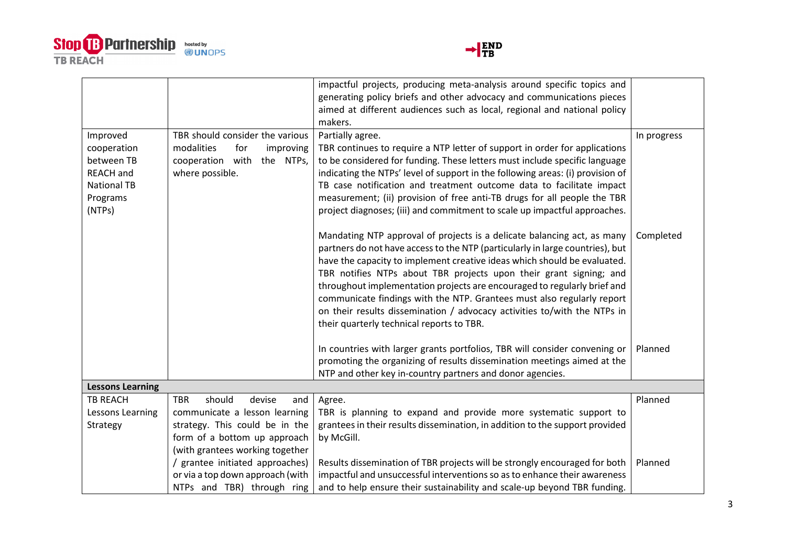



|                         |                                       | impactful projects, producing meta-analysis around specific topics and         |             |
|-------------------------|---------------------------------------|--------------------------------------------------------------------------------|-------------|
|                         |                                       | generating policy briefs and other advocacy and communications pieces          |             |
|                         |                                       | aimed at different audiences such as local, regional and national policy       |             |
|                         |                                       | makers.                                                                        |             |
| Improved                | TBR should consider the various       | Partially agree.                                                               | In progress |
| cooperation             | modalities<br>for<br>improving        | TBR continues to require a NTP letter of support in order for applications     |             |
| between TB              | cooperation with the NTPs,            | to be considered for funding. These letters must include specific language     |             |
| <b>REACH and</b>        | where possible.                       | indicating the NTPs' level of support in the following areas: (i) provision of |             |
| <b>National TB</b>      |                                       | TB case notification and treatment outcome data to facilitate impact           |             |
| Programs                |                                       | measurement; (ii) provision of free anti-TB drugs for all people the TBR       |             |
| (NTPs)                  |                                       | project diagnoses; (iii) and commitment to scale up impactful approaches.      |             |
|                         |                                       | Mandating NTP approval of projects is a delicate balancing act, as many        | Completed   |
|                         |                                       | partners do not have access to the NTP (particularly in large countries), but  |             |
|                         |                                       | have the capacity to implement creative ideas which should be evaluated.       |             |
|                         |                                       | TBR notifies NTPs about TBR projects upon their grant signing; and             |             |
|                         |                                       | throughout implementation projects are encouraged to regularly brief and       |             |
|                         |                                       | communicate findings with the NTP. Grantees must also regularly report         |             |
|                         |                                       | on their results dissemination / advocacy activities to/with the NTPs in       |             |
|                         |                                       | their quarterly technical reports to TBR.                                      |             |
|                         |                                       |                                                                                |             |
|                         |                                       | In countries with larger grants portfolios, TBR will consider convening or     | Planned     |
|                         |                                       | promoting the organizing of results dissemination meetings aimed at the        |             |
|                         |                                       | NTP and other key in-country partners and donor agencies.                      |             |
| <b>Lessons Learning</b> |                                       |                                                                                |             |
| <b>TB REACH</b>         | should<br>devise<br><b>TBR</b><br>and | Agree.                                                                         | Planned     |
| Lessons Learning        | communicate a lesson learning         | TBR is planning to expand and provide more systematic support to               |             |
| Strategy                | strategy. This could be in the        | grantees in their results dissemination, in addition to the support provided   |             |
|                         | form of a bottom up approach          | by McGill.                                                                     |             |
|                         | (with grantees working together       |                                                                                |             |
|                         | / grantee initiated approaches)       | Results dissemination of TBR projects will be strongly encouraged for both     | Planned     |
|                         | or via a top down approach (with      | impactful and unsuccessful interventions so as to enhance their awareness      |             |
|                         | NTPs and TBR) through ring            | and to help ensure their sustainability and scale-up beyond TBR funding.       |             |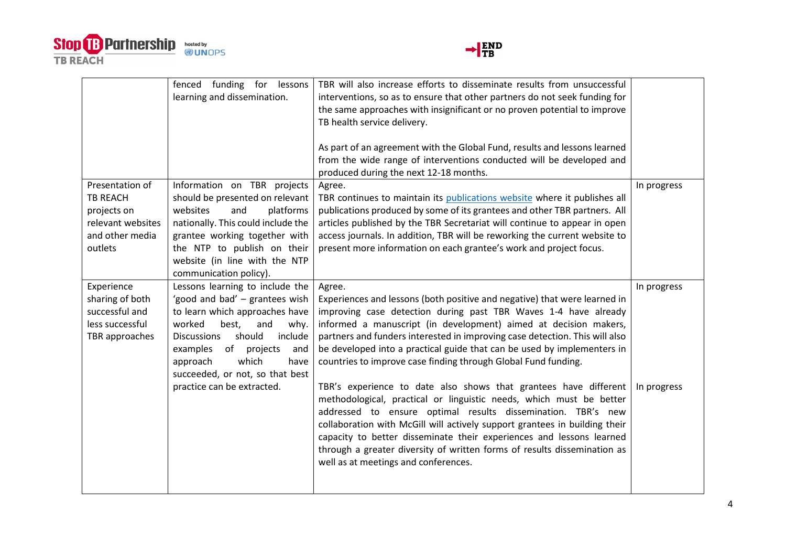



|                                                                                                      | fenced funding for<br>lessons<br>learning and dissemination.                                                                                                                                                                                                                          | TBR will also increase efforts to disseminate results from unsuccessful<br>interventions, so as to ensure that other partners do not seek funding for<br>the same approaches with insignificant or no proven potential to improve<br>TB health service delivery.                                                                                                                                                                                                                  |             |
|------------------------------------------------------------------------------------------------------|---------------------------------------------------------------------------------------------------------------------------------------------------------------------------------------------------------------------------------------------------------------------------------------|-----------------------------------------------------------------------------------------------------------------------------------------------------------------------------------------------------------------------------------------------------------------------------------------------------------------------------------------------------------------------------------------------------------------------------------------------------------------------------------|-------------|
|                                                                                                      |                                                                                                                                                                                                                                                                                       | As part of an agreement with the Global Fund, results and lessons learned<br>from the wide range of interventions conducted will be developed and<br>produced during the next 12-18 months.                                                                                                                                                                                                                                                                                       |             |
| Presentation of<br><b>TB REACH</b><br>projects on<br>relevant websites<br>and other media<br>outlets | Information on TBR projects<br>should be presented on relevant<br>platforms<br>websites<br>and<br>nationally. This could include the<br>grantee working together with<br>the NTP to publish on their<br>website (in line with the NTP<br>communication policy).                       | Agree.<br>TBR continues to maintain its publications website where it publishes all<br>publications produced by some of its grantees and other TBR partners. All<br>articles published by the TBR Secretariat will continue to appear in open<br>access journals. In addition, TBR will be reworking the current website to<br>present more information on each grantee's work and project focus.                                                                                 | In progress |
| Experience<br>sharing of both<br>successful and<br>less successful<br>TBR approaches                 | Lessons learning to include the<br>'good and bad' - grantees wish<br>to learn which approaches have<br>worked<br>best,<br>and<br>why.<br>should<br><b>Discussions</b><br>include<br>of<br>projects<br>examples<br>and<br>which<br>approach<br>have<br>succeeded, or not, so that best | Agree.<br>Experiences and lessons (both positive and negative) that were learned in<br>improving case detection during past TBR Waves 1-4 have already<br>informed a manuscript (in development) aimed at decision makers,<br>partners and funders interested in improving case detection. This will also<br>be developed into a practical guide that can be used by implementers in<br>countries to improve case finding through Global Fund funding.                            | In progress |
|                                                                                                      | practice can be extracted.                                                                                                                                                                                                                                                            | TBR's experience to date also shows that grantees have different<br>methodological, practical or linguistic needs, which must be better<br>addressed to ensure optimal results dissemination. TBR's new<br>collaboration with McGill will actively support grantees in building their<br>capacity to better disseminate their experiences and lessons learned<br>through a greater diversity of written forms of results dissemination as<br>well as at meetings and conferences. | In progress |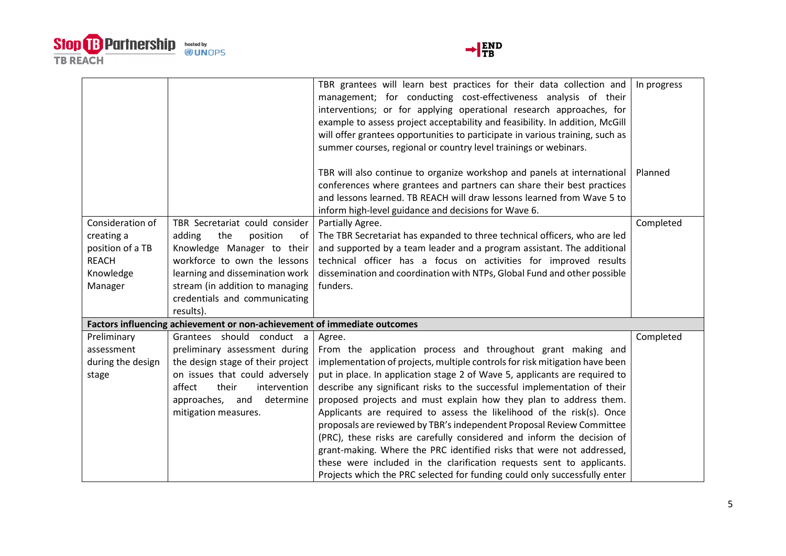



|                   |                                                                          | TBR grantees will learn best practices for their data collection and          | In progress |
|-------------------|--------------------------------------------------------------------------|-------------------------------------------------------------------------------|-------------|
|                   |                                                                          | management; for conducting cost-effectiveness analysis of their               |             |
|                   |                                                                          | interventions; or for applying operational research approaches, for           |             |
|                   |                                                                          | example to assess project acceptability and feasibility. In addition, McGill  |             |
|                   |                                                                          | will offer grantees opportunities to participate in various training, such as |             |
|                   |                                                                          | summer courses, regional or country level trainings or webinars.              |             |
|                   |                                                                          |                                                                               |             |
|                   |                                                                          | TBR will also continue to organize workshop and panels at international       | Planned     |
|                   |                                                                          | conferences where grantees and partners can share their best practices        |             |
|                   |                                                                          | and lessons learned. TB REACH will draw lessons learned from Wave 5 to        |             |
|                   |                                                                          | inform high-level guidance and decisions for Wave 6.                          |             |
| Consideration of  | TBR Secretariat could consider                                           | Partially Agree.                                                              | Completed   |
| creating a        | adding<br>the<br>position<br>of                                          | The TBR Secretariat has expanded to three technical officers, who are led     |             |
| position of a TB  | Knowledge Manager to their                                               | and supported by a team leader and a program assistant. The additional        |             |
| <b>REACH</b>      | workforce to own the lessons                                             | technical officer has a focus on activities for improved results              |             |
| Knowledge         | learning and dissemination work                                          | dissemination and coordination with NTPs, Global Fund and other possible      |             |
| Manager           | stream (in addition to managing                                          | funders.                                                                      |             |
|                   | credentials and communicating                                            |                                                                               |             |
|                   | results).                                                                |                                                                               |             |
|                   | Factors influencing achievement or non-achievement of immediate outcomes |                                                                               |             |
| Preliminary       | Grantees should conduct a                                                | Agree.                                                                        | Completed   |
|                   |                                                                          |                                                                               |             |
| assessment        | preliminary assessment during                                            | From the application process and throughout grant making and                  |             |
| during the design | the design stage of their project                                        | implementation of projects, multiple controls for risk mitigation have been   |             |
| stage             | on issues that could adversely                                           | put in place. In application stage 2 of Wave 5, applicants are required to    |             |
|                   | their<br>intervention<br>affect                                          | describe any significant risks to the successful implementation of their      |             |
|                   | determine<br>approaches, and                                             | proposed projects and must explain how they plan to address them.             |             |
|                   | mitigation measures.                                                     | Applicants are required to assess the likelihood of the risk(s). Once         |             |
|                   |                                                                          | proposals are reviewed by TBR's independent Proposal Review Committee         |             |
|                   |                                                                          | (PRC), these risks are carefully considered and inform the decision of        |             |
|                   |                                                                          | grant-making. Where the PRC identified risks that were not addressed,         |             |
|                   |                                                                          | these were included in the clarification requests sent to applicants.         |             |
|                   |                                                                          | Projects which the PRC selected for funding could only successfully enter     |             |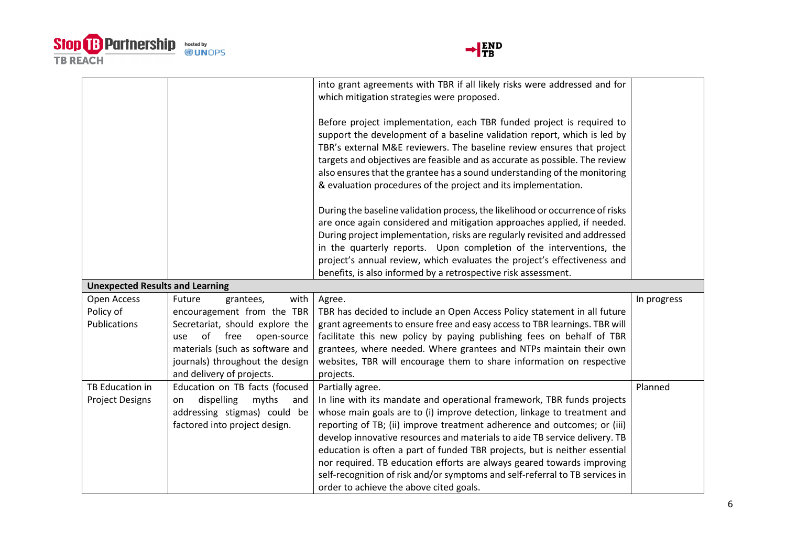



|                                        |                                  | into grant agreements with TBR if all likely risks were addressed and for<br>which mitigation strategies were proposed. |             |
|----------------------------------------|----------------------------------|-------------------------------------------------------------------------------------------------------------------------|-------------|
|                                        |                                  |                                                                                                                         |             |
|                                        |                                  | Before project implementation, each TBR funded project is required to                                                   |             |
|                                        |                                  | support the development of a baseline validation report, which is led by                                                |             |
|                                        |                                  | TBR's external M&E reviewers. The baseline review ensures that project                                                  |             |
|                                        |                                  | targets and objectives are feasible and as accurate as possible. The review                                             |             |
|                                        |                                  | also ensures that the grantee has a sound understanding of the monitoring                                               |             |
|                                        |                                  | & evaluation procedures of the project and its implementation.                                                          |             |
|                                        |                                  | During the baseline validation process, the likelihood or occurrence of risks                                           |             |
|                                        |                                  | are once again considered and mitigation approaches applied, if needed.                                                 |             |
|                                        |                                  | During project implementation, risks are regularly revisited and addressed                                              |             |
|                                        |                                  | in the quarterly reports. Upon completion of the interventions, the                                                     |             |
|                                        |                                  | project's annual review, which evaluates the project's effectiveness and                                                |             |
|                                        |                                  | benefits, is also informed by a retrospective risk assessment.                                                          |             |
| <b>Unexpected Results and Learning</b> |                                  |                                                                                                                         |             |
| Open Access                            | with<br>Future<br>grantees,      | Agree.                                                                                                                  | In progress |
| Policy of                              | encouragement from the TBR       | TBR has decided to include an Open Access Policy statement in all future                                                |             |
| <b>Publications</b>                    | Secretariat, should explore the  | grant agreements to ensure free and easy access to TBR learnings. TBR will                                              |             |
|                                        | of<br>free<br>open-source<br>use | facilitate this new policy by paying publishing fees on behalf of TBR                                                   |             |
|                                        | materials (such as software and  | grantees, where needed. Where grantees and NTPs maintain their own                                                      |             |
|                                        | journals) throughout the design  | websites, TBR will encourage them to share information on respective                                                    |             |
|                                        | and delivery of projects.        | projects.                                                                                                               |             |
| TB Education in                        | Education on TB facts (focused   | Partially agree.                                                                                                        | Planned     |
| <b>Project Designs</b>                 | dispelling<br>myths<br>and<br>on | In line with its mandate and operational framework, TBR funds projects                                                  |             |
|                                        | addressing stigmas) could be     | whose main goals are to (i) improve detection, linkage to treatment and                                                 |             |
|                                        | factored into project design.    | reporting of TB; (ii) improve treatment adherence and outcomes; or (iii)                                                |             |
|                                        |                                  | develop innovative resources and materials to aide TB service delivery. TB                                              |             |
|                                        |                                  | education is often a part of funded TBR projects, but is neither essential                                              |             |
|                                        |                                  | nor required. TB education efforts are always geared towards improving                                                  |             |
|                                        |                                  |                                                                                                                         |             |
|                                        |                                  | self-recognition of risk and/or symptoms and self-referral to TB services in<br>order to achieve the above cited goals. |             |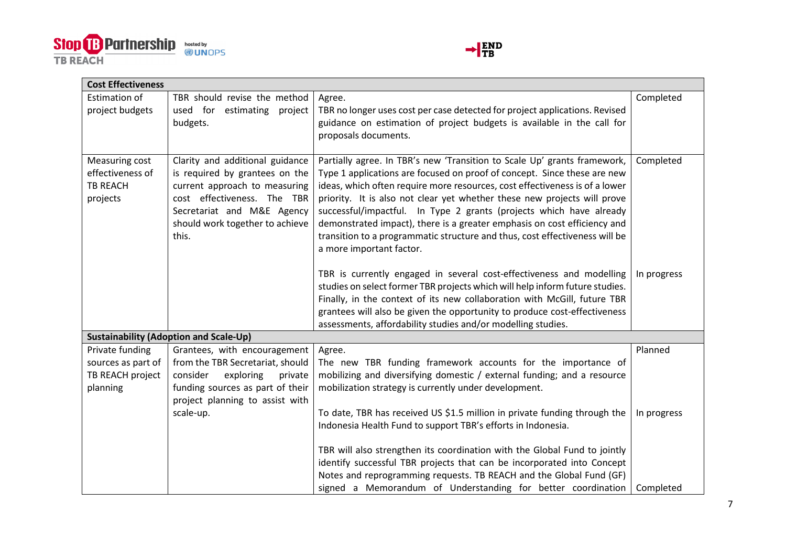



| <b>Cost Effectiveness</b>                                         |                                                                                                                                                                                                             |                                                                                                                                                                                                                                                                                                                                                                                                                                                                                                                                                                                                                                                                                                                                       |                          |
|-------------------------------------------------------------------|-------------------------------------------------------------------------------------------------------------------------------------------------------------------------------------------------------------|---------------------------------------------------------------------------------------------------------------------------------------------------------------------------------------------------------------------------------------------------------------------------------------------------------------------------------------------------------------------------------------------------------------------------------------------------------------------------------------------------------------------------------------------------------------------------------------------------------------------------------------------------------------------------------------------------------------------------------------|--------------------------|
| <b>Estimation of</b><br>project budgets                           | TBR should revise the method<br>used for estimating project<br>budgets.                                                                                                                                     | Agree.<br>TBR no longer uses cost per case detected for project applications. Revised<br>guidance on estimation of project budgets is available in the call for<br>proposals documents.                                                                                                                                                                                                                                                                                                                                                                                                                                                                                                                                               | Completed                |
| Measuring cost<br>effectiveness of<br><b>TB REACH</b><br>projects | Clarity and additional guidance<br>is required by grantees on the<br>current approach to measuring<br>cost effectiveness. The TBR<br>Secretariat and M&E Agency<br>should work together to achieve<br>this. | Partially agree. In TBR's new 'Transition to Scale Up' grants framework,<br>Type 1 applications are focused on proof of concept. Since these are new<br>ideas, which often require more resources, cost effectiveness is of a lower<br>priority. It is also not clear yet whether these new projects will prove<br>successful/impactful. In Type 2 grants (projects which have already<br>demonstrated impact), there is a greater emphasis on cost efficiency and<br>transition to a programmatic structure and thus, cost effectiveness will be<br>a more important factor.<br>TBR is currently engaged in several cost-effectiveness and modelling<br>studies on select former TBR projects which will help inform future studies. | Completed<br>In progress |
|                                                                   |                                                                                                                                                                                                             | Finally, in the context of its new collaboration with McGill, future TBR<br>grantees will also be given the opportunity to produce cost-effectiveness<br>assessments, affordability studies and/or modelling studies.                                                                                                                                                                                                                                                                                                                                                                                                                                                                                                                 |                          |
|                                                                   | <b>Sustainability (Adoption and Scale-Up)</b>                                                                                                                                                               |                                                                                                                                                                                                                                                                                                                                                                                                                                                                                                                                                                                                                                                                                                                                       |                          |
| Private funding                                                   | Grantees, with encouragement                                                                                                                                                                                | Agree.                                                                                                                                                                                                                                                                                                                                                                                                                                                                                                                                                                                                                                                                                                                                | Planned                  |
| sources as part of                                                | from the TBR Secretariat, should                                                                                                                                                                            | The new TBR funding framework accounts for the importance of                                                                                                                                                                                                                                                                                                                                                                                                                                                                                                                                                                                                                                                                          |                          |
| TB REACH project<br>planning                                      | exploring<br>consider<br>private<br>funding sources as part of their<br>project planning to assist with                                                                                                     | mobilizing and diversifying domestic / external funding; and a resource<br>mobilization strategy is currently under development.                                                                                                                                                                                                                                                                                                                                                                                                                                                                                                                                                                                                      |                          |
|                                                                   | scale-up.                                                                                                                                                                                                   | To date, TBR has received US \$1.5 million in private funding through the<br>Indonesia Health Fund to support TBR's efforts in Indonesia.                                                                                                                                                                                                                                                                                                                                                                                                                                                                                                                                                                                             | In progress              |
|                                                                   |                                                                                                                                                                                                             | TBR will also strengthen its coordination with the Global Fund to jointly<br>identify successful TBR projects that can be incorporated into Concept<br>Notes and reprogramming requests. TB REACH and the Global Fund (GF)                                                                                                                                                                                                                                                                                                                                                                                                                                                                                                            |                          |
|                                                                   |                                                                                                                                                                                                             | signed a Memorandum of Understanding for better coordination                                                                                                                                                                                                                                                                                                                                                                                                                                                                                                                                                                                                                                                                          | Completed                |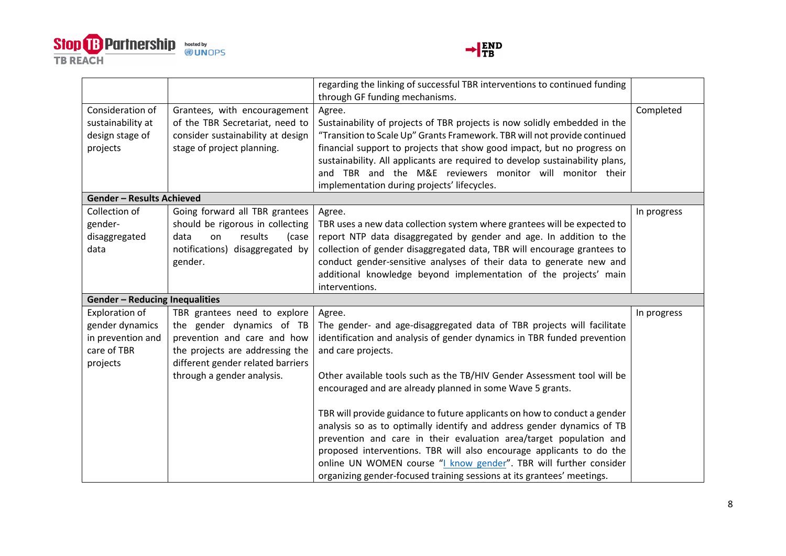



|                                       |                                   | regarding the linking of successful TBR interventions to continued funding   |             |
|---------------------------------------|-----------------------------------|------------------------------------------------------------------------------|-------------|
|                                       |                                   | through GF funding mechanisms.                                               |             |
| Consideration of                      | Grantees, with encouragement      | Agree.                                                                       | Completed   |
| sustainability at                     | of the TBR Secretariat, need to   | Sustainability of projects of TBR projects is now solidly embedded in the    |             |
| design stage of                       | consider sustainability at design | "Transition to Scale Up" Grants Framework. TBR will not provide continued    |             |
| projects                              | stage of project planning.        | financial support to projects that show good impact, but no progress on      |             |
|                                       |                                   | sustainability. All applicants are required to develop sustainability plans, |             |
|                                       |                                   | and TBR and the M&E reviewers monitor will monitor their                     |             |
|                                       |                                   | implementation during projects' lifecycles.                                  |             |
| <b>Gender - Results Achieved</b>      |                                   |                                                                              |             |
| Collection of                         | Going forward all TBR grantees    | Agree.                                                                       | In progress |
| gender-                               | should be rigorous in collecting  | TBR uses a new data collection system where grantees will be expected to     |             |
| disaggregated                         | results<br>data<br>on<br>(case    | report NTP data disaggregated by gender and age. In addition to the          |             |
| data                                  | notifications) disaggregated by   | collection of gender disaggregated data, TBR will encourage grantees to      |             |
|                                       | gender.                           | conduct gender-sensitive analyses of their data to generate new and          |             |
|                                       |                                   | additional knowledge beyond implementation of the projects' main             |             |
|                                       |                                   | interventions.                                                               |             |
| <b>Gender - Reducing Inequalities</b> |                                   |                                                                              |             |
| Exploration of                        | TBR grantees need to explore      | Agree.                                                                       | In progress |
| gender dynamics                       | the gender dynamics of TB         | The gender- and age-disaggregated data of TBR projects will facilitate       |             |
| in prevention and                     | prevention and care and how       | identification and analysis of gender dynamics in TBR funded prevention      |             |
| care of TBR                           | the projects are addressing the   | and care projects.                                                           |             |
| projects                              | different gender related barriers |                                                                              |             |
|                                       | through a gender analysis.        | Other available tools such as the TB/HIV Gender Assessment tool will be      |             |
|                                       |                                   | encouraged and are already planned in some Wave 5 grants.                    |             |
|                                       |                                   |                                                                              |             |
|                                       |                                   | TBR will provide guidance to future applicants on how to conduct a gender    |             |
|                                       |                                   | analysis so as to optimally identify and address gender dynamics of TB       |             |
|                                       |                                   | prevention and care in their evaluation area/target population and           |             |
|                                       |                                   | proposed interventions. TBR will also encourage applicants to do the         |             |
|                                       |                                   | online UN WOMEN course "I know gender". TBR will further consider            |             |
|                                       |                                   | organizing gender-focused training sessions at its grantees' meetings.       |             |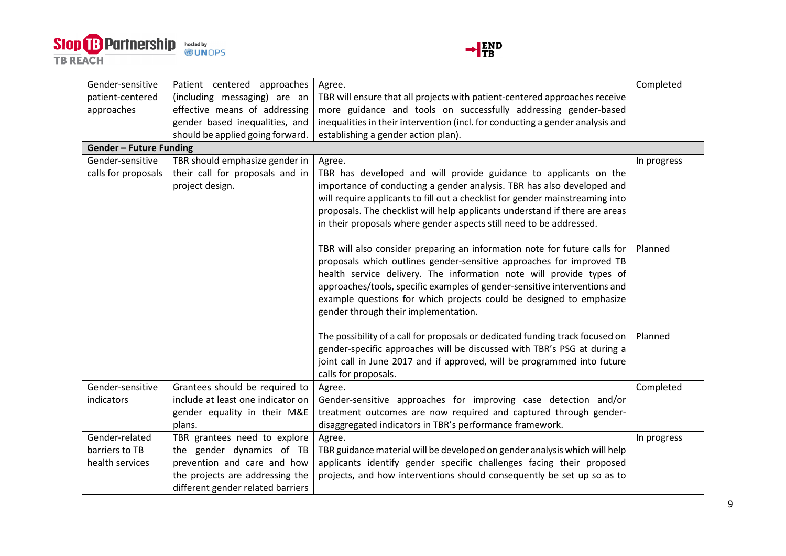



| Gender-sensitive               | Patient centered approaches       | Agree.                                                                         | Completed   |
|--------------------------------|-----------------------------------|--------------------------------------------------------------------------------|-------------|
| patient-centered               | (including messaging) are an      | TBR will ensure that all projects with patient-centered approaches receive     |             |
| approaches                     | effective means of addressing     | more guidance and tools on successfully addressing gender-based                |             |
|                                | gender based inequalities, and    | inequalities in their intervention (incl. for conducting a gender analysis and |             |
|                                | should be applied going forward.  | establishing a gender action plan).                                            |             |
| <b>Gender - Future Funding</b> |                                   |                                                                                |             |
| Gender-sensitive               | TBR should emphasize gender in    | Agree.                                                                         | In progress |
| calls for proposals            | their call for proposals and in   | TBR has developed and will provide guidance to applicants on the               |             |
|                                | project design.                   | importance of conducting a gender analysis. TBR has also developed and         |             |
|                                |                                   | will require applicants to fill out a checklist for gender mainstreaming into  |             |
|                                |                                   | proposals. The checklist will help applicants understand if there are areas    |             |
|                                |                                   | in their proposals where gender aspects still need to be addressed.            |             |
|                                |                                   | TBR will also consider preparing an information note for future calls for      | Planned     |
|                                |                                   | proposals which outlines gender-sensitive approaches for improved TB           |             |
|                                |                                   | health service delivery. The information note will provide types of            |             |
|                                |                                   | approaches/tools, specific examples of gender-sensitive interventions and      |             |
|                                |                                   | example questions for which projects could be designed to emphasize            |             |
|                                |                                   | gender through their implementation.                                           |             |
|                                |                                   | The possibility of a call for proposals or dedicated funding track focused on  | Planned     |
|                                |                                   | gender-specific approaches will be discussed with TBR's PSG at during a        |             |
|                                |                                   | joint call in June 2017 and if approved, will be programmed into future        |             |
|                                |                                   | calls for proposals.                                                           |             |
| Gender-sensitive               | Grantees should be required to    | Agree.                                                                         | Completed   |
| indicators                     | include at least one indicator on | Gender-sensitive approaches for improving case detection and/or                |             |
|                                | gender equality in their M&E      | treatment outcomes are now required and captured through gender-               |             |
|                                | plans.                            | disaggregated indicators in TBR's performance framework.                       |             |
| Gender-related                 | TBR grantees need to explore      | Agree.                                                                         | In progress |
| barriers to TB                 | the gender dynamics of TB         | TBR guidance material will be developed on gender analysis which will help     |             |
| health services                | prevention and care and how       | applicants identify gender specific challenges facing their proposed           |             |
|                                | the projects are addressing the   | projects, and how interventions should consequently be set up so as to         |             |
|                                | different gender related barriers |                                                                                |             |